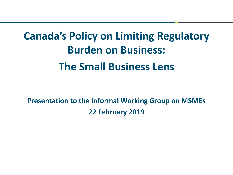# **Canada's Policy on Limiting Regulatory Burden on Business: The Small Business Lens**

**Presentation to the Informal Working Group on MSMEs 22 February 2019**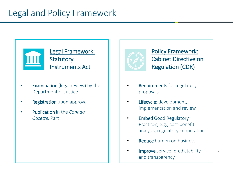

Legal Framework: **Statutory** Instruments Act

- **Examination** (legal review) by the Department of Justice
- **Registration** upon approval
- Publication in the *Canada Gazette,* Part II



#### Policy Framework: Cabinet Directive on Regulation (CDR)

- **Requirements** for regulatory proposals
- Lifecycle: development, implementation and review
- Embed Good Regulatory Practices, e.g., cost-benefit analysis, regulatory cooperation
- Reduce burden on business
- Improve service, predictability and transparency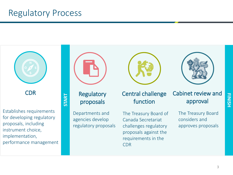# Regulatory Process

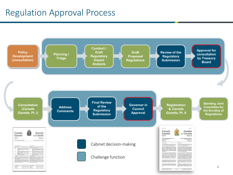### Regulation Approval Process

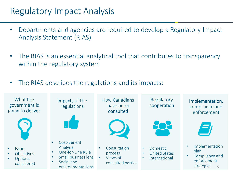## Regulatory Impact Analysis

- Departments and agencies are required to develop a Regulatory Impact Analysis Statement (RIAS)
- The RIAS is an essential analytical tool that contributes to transparency within the regulatory system
- The RIAS describes the regulations and its impacts: